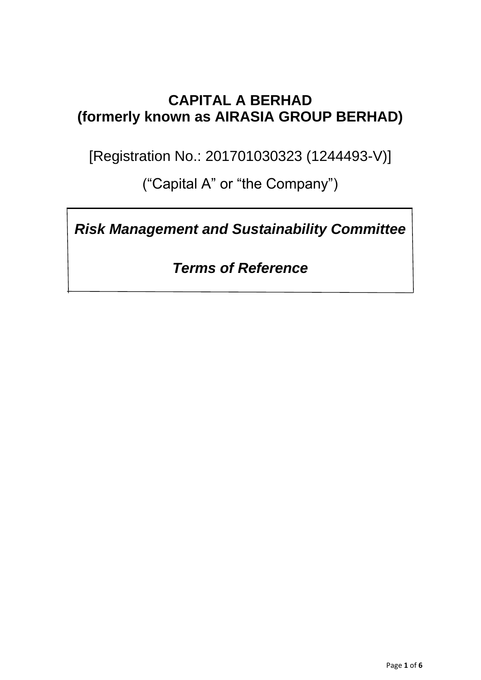## **CAPITAL A BERHAD (formerly known as AIRASIA GROUP BERHAD)**

[Registration No.: 201701030323 (1244493-V)]

("Capital A" or "the Company")

*Risk Management and Sustainability Committee*

*Terms of Reference*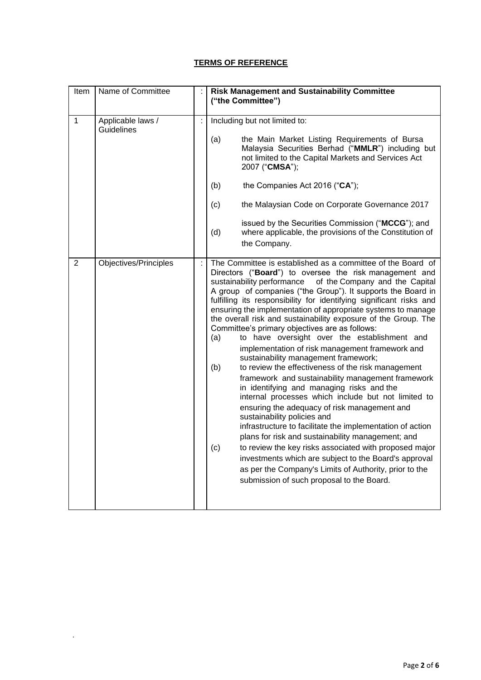## **TERMS OF REFERENCE**

| Item           | Name of Committee               | <b>Risk Management and Sustainability Committee</b><br>("the Committee")                                                                                                                                                                                                                                                                                                                                                                                                                                                                                                                                                                                                                                                                                                                                                                                                                                                                                                                                                                                                                                                                                                                                                                                                                                                   |
|----------------|---------------------------------|----------------------------------------------------------------------------------------------------------------------------------------------------------------------------------------------------------------------------------------------------------------------------------------------------------------------------------------------------------------------------------------------------------------------------------------------------------------------------------------------------------------------------------------------------------------------------------------------------------------------------------------------------------------------------------------------------------------------------------------------------------------------------------------------------------------------------------------------------------------------------------------------------------------------------------------------------------------------------------------------------------------------------------------------------------------------------------------------------------------------------------------------------------------------------------------------------------------------------------------------------------------------------------------------------------------------------|
| $\mathbf{1}$   | Applicable laws /<br>Guidelines | Including but not limited to:<br>(a)<br>the Main Market Listing Requirements of Bursa<br>Malaysia Securities Berhad ("MMLR") including but<br>not limited to the Capital Markets and Services Act<br>2007 ("CMSA");<br>the Companies Act 2016 ("CA");<br>(b)<br>(c)<br>the Malaysian Code on Corporate Governance 2017<br>issued by the Securities Commission ("MCCG"); and<br>where applicable, the provisions of the Constitution of<br>(d)<br>the Company.                                                                                                                                                                                                                                                                                                                                                                                                                                                                                                                                                                                                                                                                                                                                                                                                                                                              |
| $\overline{2}$ | Objectives/Principles           | The Committee is established as a committee of the Board of<br>Directors ("Board") to oversee the risk management and<br>sustainability performance<br>of the Company and the Capital<br>A group of companies ("the Group"). It supports the Board in<br>fulfilling its responsibility for identifying significant risks and<br>ensuring the implementation of appropriate systems to manage<br>the overall risk and sustainability exposure of the Group. The<br>Committee's primary objectives are as follows:<br>to have oversight over the establishment and<br>(a)<br>implementation of risk management framework and<br>sustainability management framework;<br>to review the effectiveness of the risk management<br>(b)<br>framework and sustainability management framework<br>in identifying and managing risks and the<br>internal processes which include but not limited to<br>ensuring the adequacy of risk management and<br>sustainability policies and<br>infrastructure to facilitate the implementation of action<br>plans for risk and sustainability management; and<br>to review the key risks associated with proposed major<br>(c)<br>investments which are subject to the Board's approval<br>as per the Company's Limits of Authority, prior to the<br>submission of such proposal to the Board. |

*.*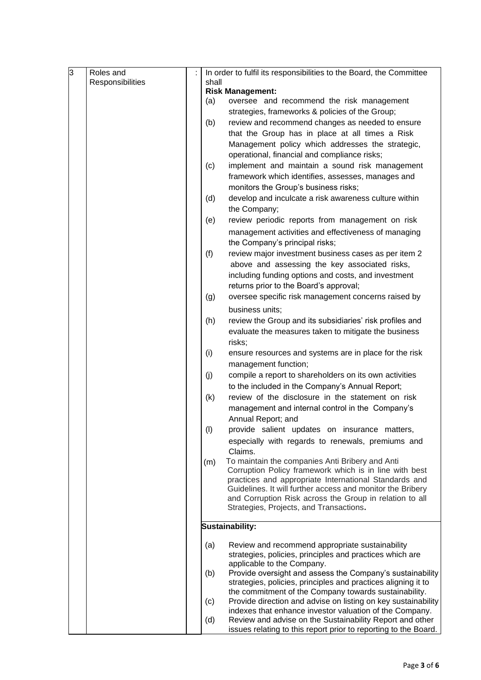| 3 | Roles and        |           | In order to fulfil its responsibilities to the Board, the Committee                                                        |
|---|------------------|-----------|----------------------------------------------------------------------------------------------------------------------------|
|   | Responsibilities | shall     |                                                                                                                            |
|   |                  |           | <b>Risk Management:</b><br>oversee and recommend the risk management                                                       |
|   |                  | (a)       | strategies, frameworks & policies of the Group;                                                                            |
|   |                  |           | review and recommend changes as needed to ensure                                                                           |
|   |                  | (b)       |                                                                                                                            |
|   |                  |           | that the Group has in place at all times a Risk                                                                            |
|   |                  |           | Management policy which addresses the strategic,<br>operational, financial and compliance risks;                           |
|   |                  | (c)       | implement and maintain a sound risk management                                                                             |
|   |                  |           | framework which identifies, assesses, manages and                                                                          |
|   |                  |           | monitors the Group's business risks;                                                                                       |
|   |                  | (d)       | develop and inculcate a risk awareness culture within                                                                      |
|   |                  |           | the Company;                                                                                                               |
|   |                  | (e)       | review periodic reports from management on risk                                                                            |
|   |                  |           | management activities and effectiveness of managing                                                                        |
|   |                  |           | the Company's principal risks;                                                                                             |
|   |                  | (f)       | review major investment business cases as per item 2                                                                       |
|   |                  |           | above and assessing the key associated risks,                                                                              |
|   |                  |           | including funding options and costs, and investment                                                                        |
|   |                  |           | returns prior to the Board's approval;                                                                                     |
|   |                  | (g)       | oversee specific risk management concerns raised by                                                                        |
|   |                  |           | business units;                                                                                                            |
|   |                  | (h)       | review the Group and its subsidiaries' risk profiles and                                                                   |
|   |                  |           | evaluate the measures taken to mitigate the business                                                                       |
|   |                  |           | risks;                                                                                                                     |
|   |                  | (i)       | ensure resources and systems are in place for the risk                                                                     |
|   |                  |           | management function;                                                                                                       |
|   |                  | (j)       | compile a report to shareholders on its own activities                                                                     |
|   |                  |           | to the included in the Company's Annual Report;                                                                            |
|   |                  | (k)       | review of the disclosure in the statement on risk                                                                          |
|   |                  |           | management and internal control in the Company's                                                                           |
|   |                  |           | Annual Report; and                                                                                                         |
|   |                  | $($ l $)$ | provide salient updates on insurance matters,                                                                              |
|   |                  |           | especially with regards to renewals, premiums and                                                                          |
|   |                  |           | Claims.                                                                                                                    |
|   |                  | (m)       | To maintain the companies Anti Bribery and Anti                                                                            |
|   |                  |           | Corruption Policy framework which is in line with best<br>practices and appropriate International Standards and            |
|   |                  |           | Guidelines. It will further access and monitor the Bribery                                                                 |
|   |                  |           | and Corruption Risk across the Group in relation to all                                                                    |
|   |                  |           | Strategies, Projects, and Transactions.                                                                                    |
|   |                  |           | Sustainability:                                                                                                            |
|   |                  |           |                                                                                                                            |
|   |                  | (a)       | Review and recommend appropriate sustainability                                                                            |
|   |                  |           | strategies, policies, principles and practices which are                                                                   |
|   |                  |           | applicable to the Company.                                                                                                 |
|   |                  | (b)       | Provide oversight and assess the Company's sustainability<br>strategies, policies, principles and practices aligning it to |
|   |                  |           | the commitment of the Company towards sustainability.                                                                      |
|   |                  | (c)       | Provide direction and advise on listing on key sustainability                                                              |
|   |                  |           | indexes that enhance investor valuation of the Company.                                                                    |
|   |                  | (d)       | Review and advise on the Sustainability Report and other                                                                   |
|   |                  |           | issues relating to this report prior to reporting to the Board.                                                            |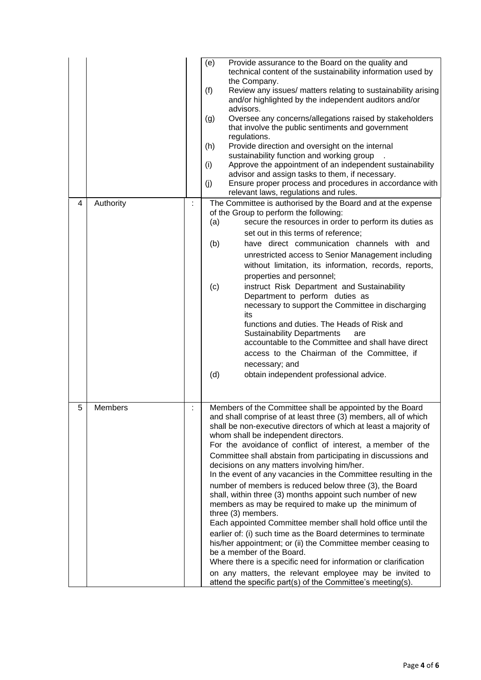| 4 | Authority      | t | Provide assurance to the Board on the quality and<br>(e)<br>technical content of the sustainability information used by<br>the Company.<br>(f)<br>Review any issues/ matters relating to sustainability arising<br>and/or highlighted by the independent auditors and/or<br>advisors.<br>Oversee any concerns/allegations raised by stakeholders<br>(g)<br>that involve the public sentiments and government<br>regulations.<br>Provide direction and oversight on the internal<br>(h)<br>sustainability function and working group<br>Approve the appointment of an independent sustainability<br>(i)<br>advisor and assign tasks to them, if necessary.<br>Ensure proper process and procedures in accordance with<br>(j)<br>relevant laws, regulations and rules.<br>The Committee is authorised by the Board and at the expense<br>of the Group to perform the following:                                                                                                                                                                                                                                           |
|---|----------------|---|-------------------------------------------------------------------------------------------------------------------------------------------------------------------------------------------------------------------------------------------------------------------------------------------------------------------------------------------------------------------------------------------------------------------------------------------------------------------------------------------------------------------------------------------------------------------------------------------------------------------------------------------------------------------------------------------------------------------------------------------------------------------------------------------------------------------------------------------------------------------------------------------------------------------------------------------------------------------------------------------------------------------------------------------------------------------------------------------------------------------------|
|   |                |   | secure the resources in order to perform its duties as<br>(a)<br>set out in this terms of reference;<br>have direct communication channels with and<br>(b)<br>unrestricted access to Senior Management including<br>without limitation, its information, records, reports,<br>properties and personnel;<br>(c)<br>instruct Risk Department and Sustainability<br>Department to perform duties as<br>necessary to support the Committee in discharging<br>its<br>functions and duties. The Heads of Risk and<br><b>Sustainability Departments</b><br>are<br>accountable to the Committee and shall have direct<br>access to the Chairman of the Committee, if<br>necessary; and<br>(d)<br>obtain independent professional advice.                                                                                                                                                                                                                                                                                                                                                                                        |
| 5 | <b>Members</b> |   | Members of the Committee shall be appointed by the Board<br>and shall comprise of at least three (3) members, all of which<br>shall be non-executive directors of which at least a majority of<br>whom shall be independent directors.<br>For the avoidance of conflict of interest, a member of the<br>Committee shall abstain from participating in discussions and<br>decisions on any matters involving him/her.<br>In the event of any vacancies in the Committee resulting in the<br>number of members is reduced below three (3), the Board<br>shall, within three (3) months appoint such number of new<br>members as may be required to make up the minimum of<br>three (3) members.<br>Each appointed Committee member shall hold office until the<br>earlier of: (i) such time as the Board determines to terminate<br>his/her appointment; or (ii) the Committee member ceasing to<br>be a member of the Board.<br>Where there is a specific need for information or clarification<br>on any matters, the relevant employee may be invited to<br>attend the specific part(s) of the Committee's meeting(s). |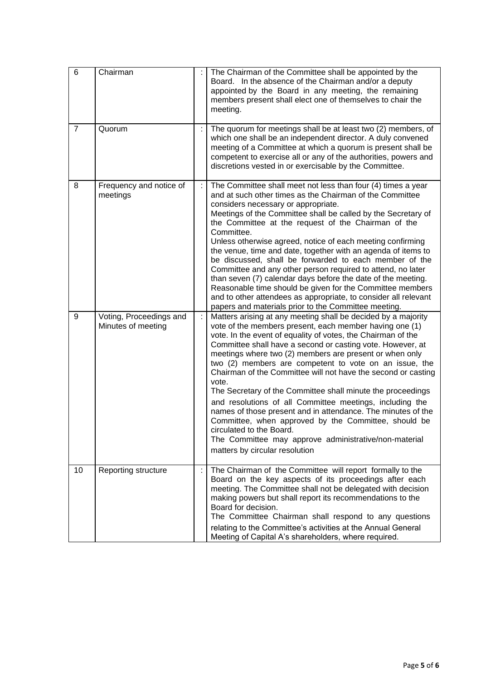| 6              | Chairman                                      |   | The Chairman of the Committee shall be appointed by the<br>Board. In the absence of the Chairman and/or a deputy<br>appointed by the Board in any meeting, the remaining<br>members present shall elect one of themselves to chair the<br>meeting.                                                                                                                                                                                                                                                                                                                                                                                                                                                                                                                                                                              |
|----------------|-----------------------------------------------|---|---------------------------------------------------------------------------------------------------------------------------------------------------------------------------------------------------------------------------------------------------------------------------------------------------------------------------------------------------------------------------------------------------------------------------------------------------------------------------------------------------------------------------------------------------------------------------------------------------------------------------------------------------------------------------------------------------------------------------------------------------------------------------------------------------------------------------------|
| $\overline{7}$ | Quorum                                        |   | The quorum for meetings shall be at least two (2) members, of<br>which one shall be an independent director. A duly convened<br>meeting of a Committee at which a quorum is present shall be<br>competent to exercise all or any of the authorities, powers and<br>discretions vested in or exercisable by the Committee.                                                                                                                                                                                                                                                                                                                                                                                                                                                                                                       |
| 8              | Frequency and notice of<br>meetings           | ÷ | The Committee shall meet not less than four (4) times a year<br>and at such other times as the Chairman of the Committee<br>considers necessary or appropriate.<br>Meetings of the Committee shall be called by the Secretary of<br>the Committee at the request of the Chairman of the<br>Committee.<br>Unless otherwise agreed, notice of each meeting confirming<br>the venue, time and date, together with an agenda of items to<br>be discussed, shall be forwarded to each member of the<br>Committee and any other person required to attend, no later<br>than seven (7) calendar days before the date of the meeting.<br>Reasonable time should be given for the Committee members<br>and to other attendees as appropriate, to consider all relevant<br>papers and materials prior to the Committee meeting.           |
| 9              | Voting, Proceedings and<br>Minutes of meeting |   | Matters arising at any meeting shall be decided by a majority<br>vote of the members present, each member having one (1)<br>vote. In the event of equality of votes, the Chairman of the<br>Committee shall have a second or casting vote. However, at<br>meetings where two (2) members are present or when only<br>two (2) members are competent to vote on an issue, the<br>Chairman of the Committee will not have the second or casting<br>vote.<br>The Secretary of the Committee shall minute the proceedings<br>and resolutions of all Committee meetings, including the<br>names of those present and in attendance. The minutes of the<br>Committee, when approved by the Committee, should be<br>circulated to the Board.<br>The Committee may approve administrative/non-material<br>matters by circular resolution |
| 10             | Reporting structure                           |   | The Chairman of the Committee will report formally to the<br>Board on the key aspects of its proceedings after each<br>meeting. The Committee shall not be delegated with decision<br>making powers but shall report its recommendations to the<br>Board for decision.<br>The Committee Chairman shall respond to any questions<br>relating to the Committee's activities at the Annual General<br>Meeting of Capital A's shareholders, where required.                                                                                                                                                                                                                                                                                                                                                                         |